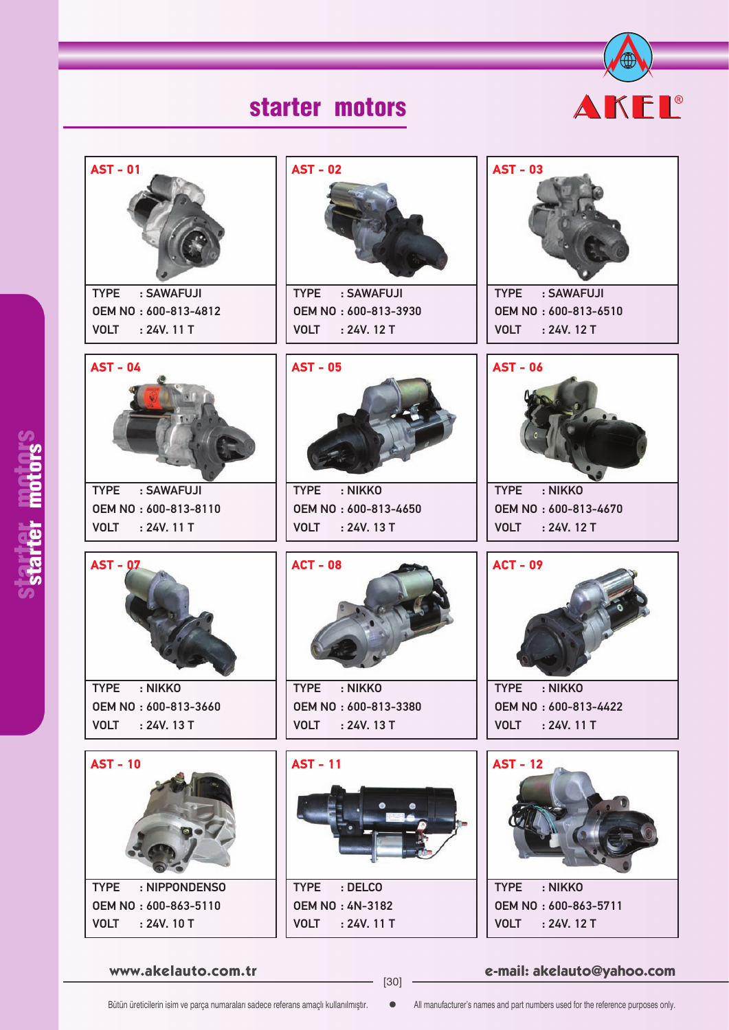



**www.akelauto.com.tr e-mail: akelauto@yahoo.com** [30]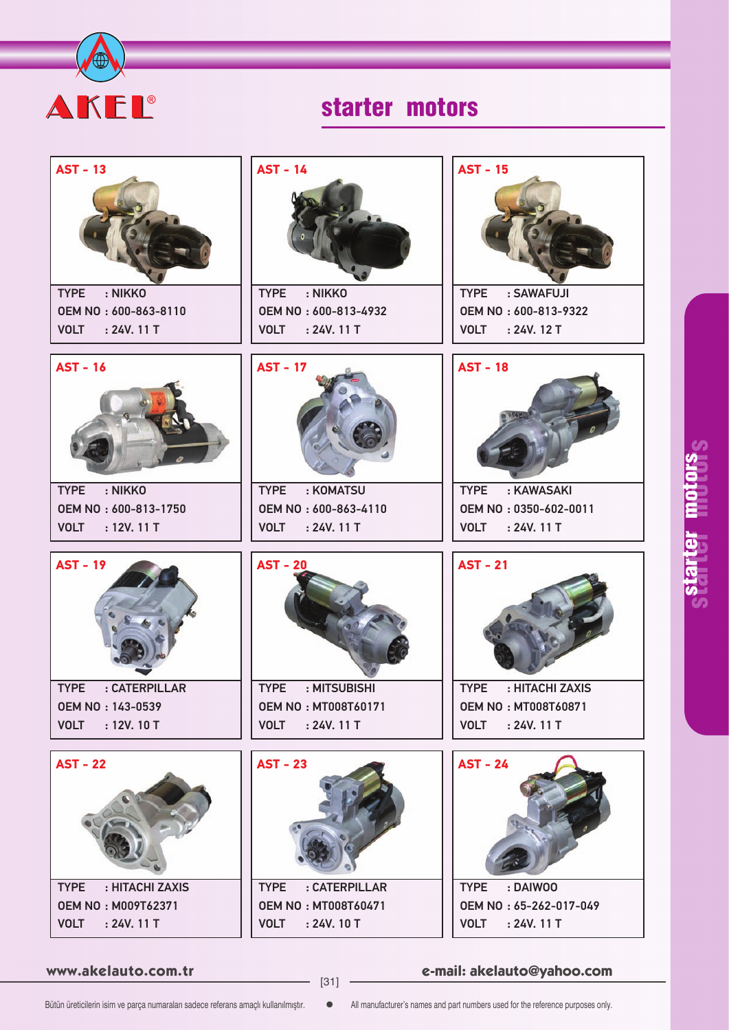



**www.akelauto.com.tr e-mail: akelauto@yahoo.com** [31]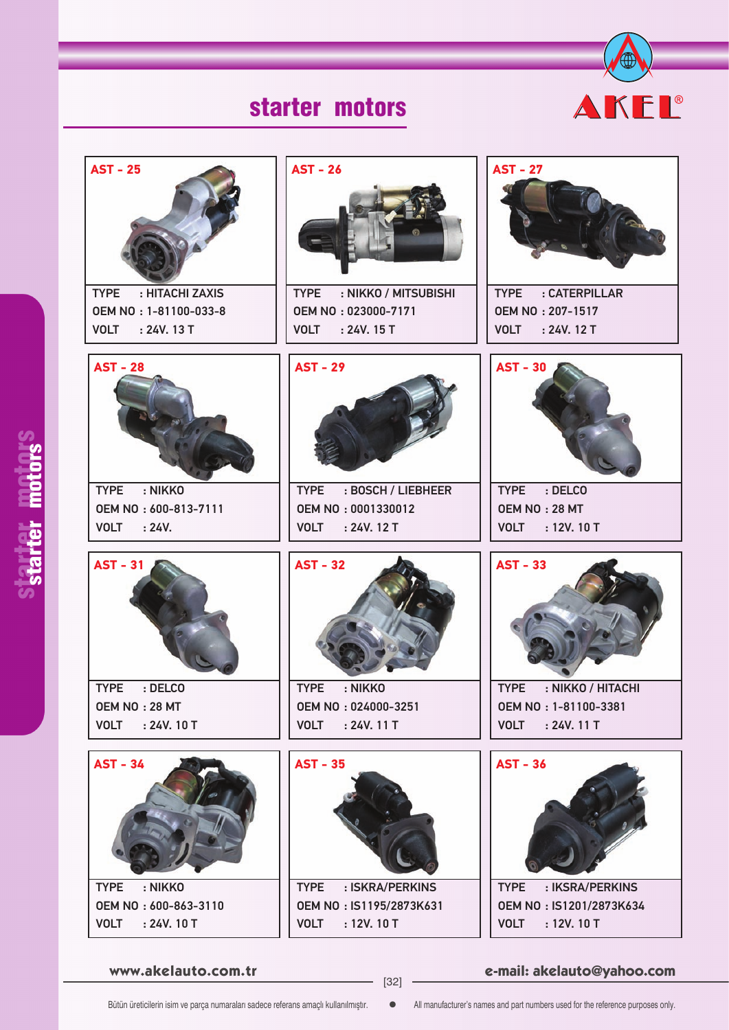



**www.akelauto.com.tr e-mail: akelauto@yahoo.com** [32]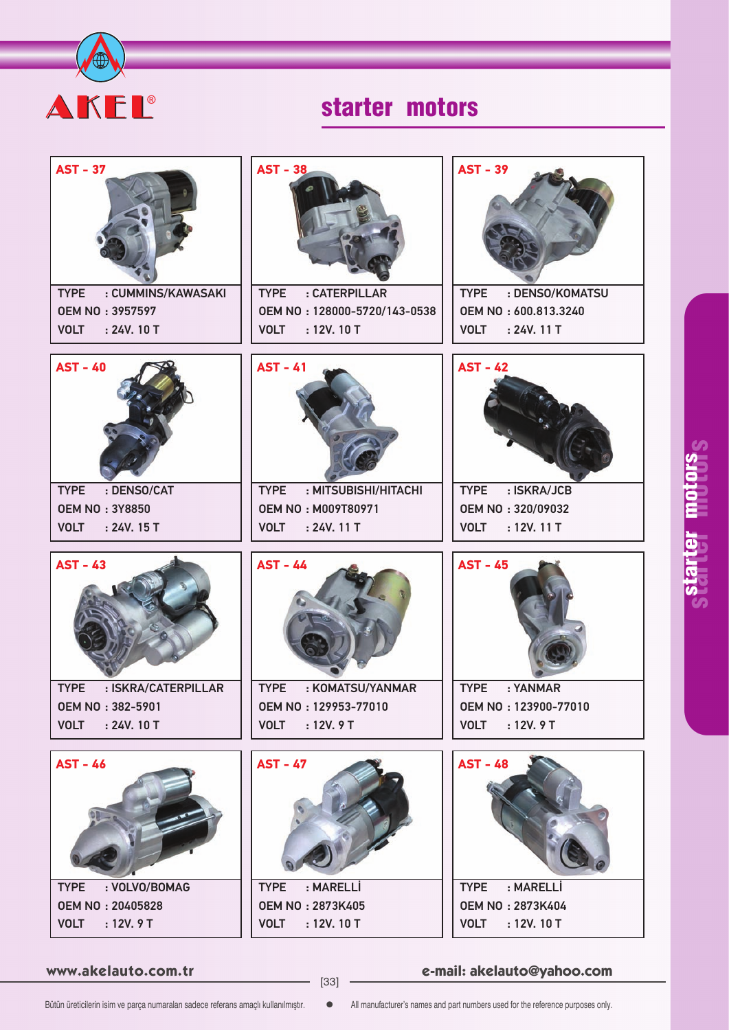

| <b>AST - 37</b>                                       | <b>AST - 38</b>                                            | <b>AST - 39</b>                            |
|-------------------------------------------------------|------------------------------------------------------------|--------------------------------------------|
| : CUMMINS/KAWASAKI<br><b>TYPE</b>                     | : CATERPILLAR<br><b>TYPE</b>                               | <b>TYPE</b><br>: DENSO/KOMATSU             |
| <b>OEM NO: 3957597</b><br><b>VOLT</b><br>: 24V. 10T   | OEM NO: 128000-5720/143-0538<br><b>VOLT</b><br>: 12V. 10 T | OEM NO: 600.813.3240<br>VOLT : 24V. 11 T   |
|                                                       |                                                            |                                            |
| <b>AST - 40</b>                                       | <b>AST - 41</b>                                            | <b>AST - 42</b>                            |
| <b>TYPE</b><br>: DENSO/CAT<br><b>OEM NO: 3Y8850</b>   | <b>TYPE</b><br>: MITSUBISHI/HITACHI                        | : ISKRA/JCB<br><b>TYPE</b>                 |
|                                                       | <b>OEM NO: M009T80971</b>                                  | OEM NO: 320/09032                          |
| <b>VOLT</b><br>: 24V. 15 T                            | <b>VOLT</b><br>: 24V. 11T                                  | <b>VOLT</b><br>: 12V. 11 T                 |
| <b>AST - 43</b><br><b>TYPE</b><br>: ISKRA/CATERPILLAR | <b>AST - 44</b><br>: KOMATSU/YANMAR<br><b>TYPE</b>         | <b>AST - 45</b><br><b>TYPE</b><br>: YANMAR |
| <b>OEM NO: 382-5901</b>                               | OEM NO: 129953-77010                                       | OEM NO: 123900-77010                       |
| <b>VOLT</b><br>: 24V. 10 T                            | <b>VOLT</b><br>: 12V.9T                                    | : 12V.9T<br><b>VOLT</b>                    |
| <b>AST - 46</b>                                       | <b>AST - 47</b>                                            | <b>AST - 48</b>                            |
| : VOLVO/BOMAG<br><b>TYPE</b>                          | : MARELLİ<br><b>TYPE</b>                                   | : MARELLİ<br><b>TYPE</b>                   |
| <b>OEM NO: 20405828</b>                               | <b>OEM NO: 2873K405</b>                                    | <b>OEM NO: 2873K404</b>                    |
| <b>VOLT</b><br>: 12V.9T                               | <b>VOLT</b><br>: 12V. 10 T                                 | <b>VOLT</b><br>: 12V. 10 T                 |

**www.akelauto.com.tr e-mail: akelauto@yahoo.com** [33]